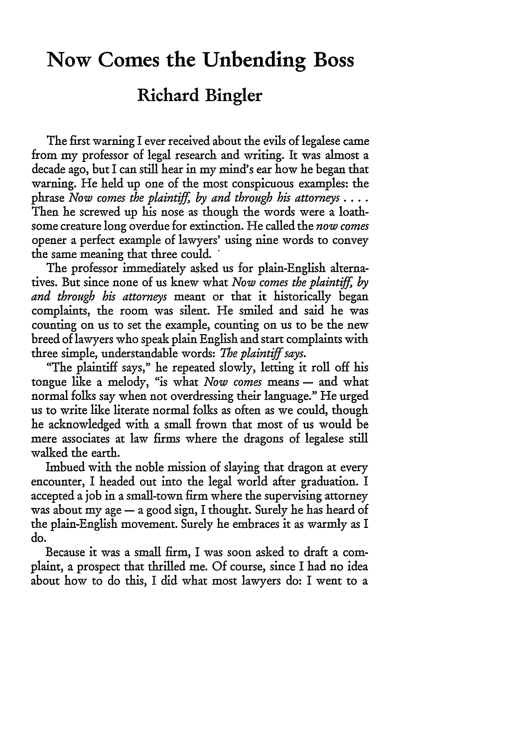## **Now Comes the Unbending Boss**

## **Richard Bingler**

The first warning I ever received about the evils of legalese came from my professor of legal research and writing. It was almost a decade ago, but I can still hear in my mind's ear how he began that warning. He held up one of the most conspicuous examples: the phrase *Now comes the plaintiff, by and through his attorneys ....* Then he screwed up his nose as though the words were a loathsome creature long overdue for extinction. He called the *now comes* opener a perfect example of lawyers' using nine words to convey the same meaning that three could. **\***

The professor immediately asked us for plain-English alternatives. But since none of us knew what *Now comes the plaintiff, by and through his attorneys* meant or that it historically began complaints, the room was silent. He smiled and said he was counting on us to set the example, counting on us to be the new breed of lawyers who speak plain English and start complaints with three simple, understandable words: *The plaintiff says.*

"The plaintiff says," he repeated slowly, letting it roll off his tongue like a melody, "is what *Now comes* means - and what normal folks say when not overdressing their language." He urged us to write like literate normal folks as often as we could, though he acknowledged with a small frown that most of us would be mere associates at law firms where the dragons of legalese still walked the earth.

Imbued with the noble mission of slaying that dragon at every encounter, I headed out into the legal world after graduation. I accepted a job in a small-town firm where the supervising attorney was about my age - a good sign, I thought. Surely he has heard of the plain-English movement. Surely he embraces it as warmly as I do.

Because it was a small firm, I was soon asked to draft a complaint, a prospect that thrilled me. Of course, since I had no idea about how to do this, I did what most lawyers do: I went to a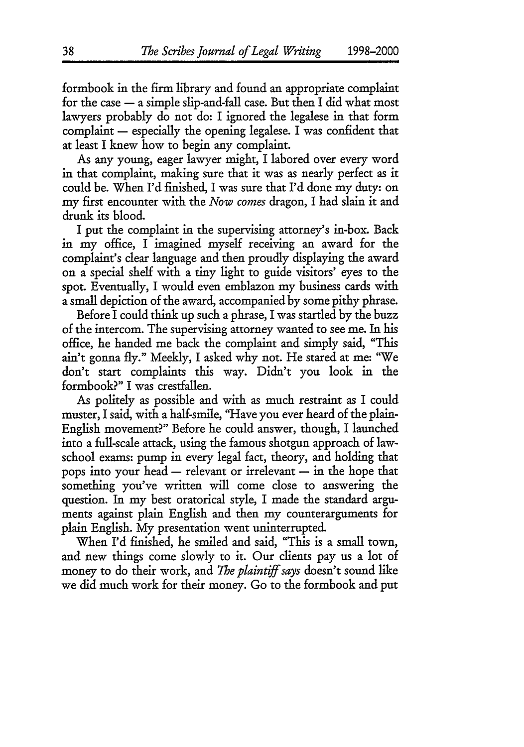formbook in the firm library and found an appropriate complaint for the case  $-$  a simple slip-and-fall case. But then I did what most lawyers probably do not do: I ignored the legalese in that form complaint  $-$  especially the opening legalese. I was confident that at least I knew how to begin any complaint.

As any young, eager lawyer might, I labored over every word in that complaint, making sure that it was as nearly perfect as it could be. When I'd finished, I was sure that I'd done my duty: on my first encounter with the *Now comes* dragon, I had slain it and drunk its blood.

I put the complaint in the supervising attorney's in-box. Back in my office, I imagined myself receiving an award for the complaint's clear language and then proudly displaying the award on a special shelf with a tiny light to guide visitors' eyes to the spot. Eventually, I would even emblazon my business cards with a small depiction of the award, accompanied by some pithy phrase.

Before I could think up such a phrase, I was startled by the buzz of the intercom. The supervising attorney wanted to see me. In his office, he handed me back the complaint and simply said, "This ain't gonna fly." Meekly, I asked why not. He stared at me: "We don't start complaints this way. Didn't you look in the formbook?" I was crestfallen.

As politely as possible and with as much restraint as I could muster, I said, with a half-smile, "Have you ever heard of the plain-English movement?" Before he could answer, though, I launched into a full-scale attack, using the famous shotgun approach of lawschool exams: pump in every legal fact, theory, and holding that pops into your head  $-$  relevant or irrelevant  $-$  in the hope that something you've written will come close to answering the question. In my best oratorical style, I made the standard arguments against plain English and then my counterarguments for plain English. My presentation went uninterrupted.

When I'd finished, he smiled and said, "This is a small town, and new things come slowly to it. Our clients pay us a lot of money to do their work, and *The plaintiff says* doesn't sound like we did much work for their money. Go to the formbook and put